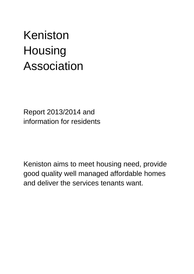# Keniston **Housing** Association

Report 2013/2014 and information for residents

Keniston aims to meet housing need, provide good quality well managed affordable homes and deliver the services tenants want.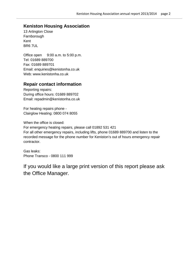## **Keniston Housing Association**

13 Artington Close Farnborough Kent BR6 7UL

Office open 9:00 a.m. to 5:00 p.m. Tel: 01689 889700 Fax: 01689 889701 Email: enquiries@kenistonha.co.uk Web: www.kenistonha.co.uk

## **Repair contact information**

Reporting repairs: During office hours: 01689 889702 Email: repadmin@kenistonha.co.uk

For heating repairs phone - Clairglow Heating: 0800 074 8055

When the office is closed: For emergency heating repairs, please call 01892 531 421 For all other emergency repairs, including lifts, phone 01689 889700 and listen to the recorded message for the phone number for Keniston's out of hours emergency repair contractor.

Gas leaks: Phone Transco - 0800 111 999

If you would like a large print version of this report please ask the Office Manager.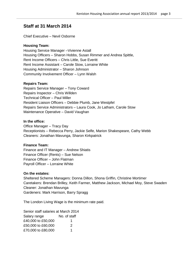# **Staff at 31 March 2014**

Chief Executive – Nevil Osborne

#### **Housing Team:**

Housing Service Manager –Vivienne Astall Housing Officers – Sharon Hobbs, Susan Rimmer and Andrea Spittle, Rent Income Officers – Chris Little, Sue Everitt Rent Income Assistant – Carole Stow, Lorraine White Housing Administrator – Sharon Johnson Community Involvement Officer – Lynn Walsh

#### **Repairs Team:**

Repairs Service Manager – Tony Coward Repairs Inspector – Chris Willden Technical Officer – Paul Miller Resident Liaison Officers – Debbie Plumb, Jane Westpfel Repairs Service Administrators – Laura Cook, Jo Latham, Carole Stow Maintenance Operative – David Vaughan

#### **In the office:**

Office Manager – Tracy Day Receptionists – Rebecca Perry, Jackie Selfe, Marion Shakespeare, Cathy Webb Cleaners: Jonathan Mavunga, Sharon Kirkpatrick

#### **Finance Team:**

Finance and IT Manager – Andrew Shiatis Finance Officer (Rents) – Sue Nelson Finance Officer – John Flatman Payroll Officer – Lorraine White

#### **On the estates:**

Sheltered Scheme Managers: Donna Dillon, Shona Griffin, Christine Mortimer Caretakers: Brendan Brilley, Keith Farmer, Matthew Jackson, Michael Moy, Steve Swaden Cleaner: Jonathan Mavunga Gardeners: Mark Harrison, Barry Spragg

The London Living Wage is the minimum rate paid.

Senior staff salaries at March 2014 Salary range No. of staff £40,000 to £50,000 1 £50,000 to £60,000 2 £70,000 to £80,000 1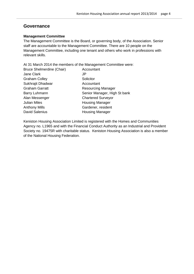## **Governance**

#### **Management Committee**

The Management Committee is the Board, or governing body, of the Association. Senior staff are accountable to the Management Committee. There are 10 people on the Management Committee, including one tenant and others who work in professions with relevant skills.

At 31 March 2014 the members of the Management Committee were:

| <b>Bruce Shelmerdine (Chair)</b> | Accountant                   |
|----------------------------------|------------------------------|
| Jane Clark                       | JP.                          |
| <b>Graham Colley</b>             | Solicitor                    |
| Sukhrajit Dhadwar                | Accountant                   |
| <b>Graham Garratt</b>            | <b>Resourcing Manager</b>    |
| Barry Luhmann                    | Senior Manager, High St bank |
| Alan Messenger                   | <b>Chartered Surveyor</b>    |
| <b>Julian Miles</b>              | <b>Housing Manager</b>       |
| <b>Anthony Mills</b>             | Gardener, resident           |
| <b>David Salenius</b>            | <b>Housing Manager</b>       |
|                                  |                              |

Keniston Housing Association Limited is registered with the Homes and Communities Agency no. L1965 and with the Financial Conduct Authority as an Industrial and Provident Society no. 19475R with charitable status. Keniston Housing Association is also a member of the National Housing Federation.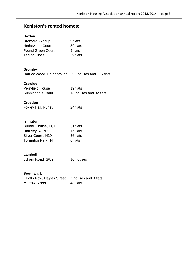# **Keniston's rented homes:**

## **Bexley**

| Dromore, Sidcup          | 9 flats  |
|--------------------------|----------|
| <b>Nethewode Court</b>   | 39 flats |
| <b>Pound Green Court</b> | 9 flats  |
| <b>Tarling Close</b>     | 39 flats |

#### **Bromley**

Darrick Wood, Farnborough 253 houses and 116 flats

#### **Crawley**

| Perryfield House  | 19 flats               |
|-------------------|------------------------|
| Sunningdale Court | 16 houses and 32 flats |

## **Croydon**

| Foxley Hall, Purley | 24 flats |
|---------------------|----------|
|---------------------|----------|

## **Islington**

| <b>Burnhill House, EC1</b> | 31 flats |
|----------------------------|----------|
| Hornsey Rd N7              | 15 flats |
| Silver Court, N19          | 36 flats |
| <b>Tollington Park N4</b>  | 6 flats  |

#### **Lambeth**

Lyham Road, SW2 10 houses

## **Southwark**

| Elliotts Row, Hayles Street | 7 houses and 3 flats |
|-----------------------------|----------------------|
| <b>Merrow Street</b>        | 48 flats             |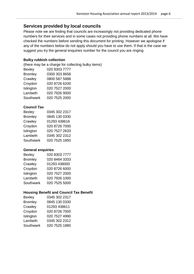## **Services provided by local councils**

Please note we are finding that councils are increasingly not providing dedicated phone numbers for their services and in some cases not providing phone numbers at all. We have checked the numbers before sending this document for printing. However we apologise if any of the numbers below do not apply should you have to use them. If that is the case we suggest you try the general enquiries number for the council you are ringing.

#### **Bulky rubbish collection**

(there may be a charge for collecting bulky items)

| <b>Bexley</b>  | 020 8303 7777 |
|----------------|---------------|
| <b>Bromley</b> | 0300 303 8658 |
| Crawley        | 0800 587 5888 |
| Croydon        | 020 8726 6200 |
| Islington      | 020 7527 2000 |
| Lambeth        | 020 7926 9000 |
| Southwark      | 020 7525 2000 |
|                |               |

#### **Council Tax**

| Bexley         | 0345 302 2317 |
|----------------|---------------|
| <b>Bromley</b> | 0845 130 0330 |
| Crawley        | 01293 438616  |
| Croydon        | 020 8726 7000 |
| Islington      | 020 7527 2633 |
| Lambeth        | 0345 302 2312 |
| Southwark      | 020 7525 1850 |

#### **General enquiries**

| Bexley         | 020 8303 7777 |
|----------------|---------------|
| <b>Bromley</b> | 020 8464 3333 |
| Crawley        | 01293 438000  |
| Croydon        | 020 8726 6000 |
| Islington      | 020 7527 2000 |
| Lambeth        | 020 7926 1000 |
| Southwark      | 020 7525 5000 |

#### **Housing Benefit and Council Tax Benefit**

| <b>Bexley</b>  | 0345 302 2317 |
|----------------|---------------|
| <b>Bromley</b> | 0845 130 0330 |
| Crawley        | 01293 438611  |
| Croydon        | 020 8726 7000 |
| Islington      | 020 7527 4990 |
| Lambeth        | 0345 302 2312 |
| Southwark      | 020 7525 1880 |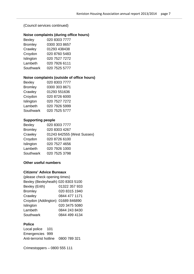(Council services continued)

## **Noise complaints (during office hours)**

| <b>Bexley</b>  | 020 8303 7777 |
|----------------|---------------|
| <b>Bromley</b> | 0300 303 8657 |
| Crawley        | 01293 438438  |
| Croydon        | 020 8760 5483 |
| Islington      | 020 7527 7272 |
| Lambeth        | 020 7926 6111 |
| Southwark      | 020 7525 5777 |

## **Noise complaints (outside of office hours)**

| <b>Bexley</b>  | 020 8303 7777 |
|----------------|---------------|
| <b>Bromley</b> | 0300 303 8671 |
| Crawley        | 01293 551636  |
| Croydon        | 020 8726 6000 |
| Islington      | 020 7527 7272 |
| Lambeth        | 020 7926 5999 |
| Southwark      | 020 7525 5777 |

#### **Supporting people**

| <b>Bexley</b>  | 020 8303 7777              |
|----------------|----------------------------|
| <b>Bromley</b> | 020 8303 4267              |
| Crawley        | 01243 642555 (West Sussex) |
| Croydon        | 020 8726 6100              |
| Islington      | 020 7527 4656              |
| Lambeth        | 020 7926 1000              |
| Southwark      | 020 7525 3798              |

#### **Other useful numbers**

#### **Citizens' Advice Bureaux**

| (please check opening times)       |  |  |
|------------------------------------|--|--|
| Bexley (Bexleyheath) 020 8303 5100 |  |  |
| 01322 357 933                      |  |  |
| 020 8315 1940                      |  |  |
| 0844 477 1171                      |  |  |
| 01689 846890                       |  |  |
| 020 3475 5080                      |  |  |
| 0844 243 8430                      |  |  |
| 0844 499 4134                      |  |  |
|                                    |  |  |

#### **Police**

Local police 101 Emergencies 999 Anti-terrorist hotline 0800 789 321

Crimestoppers – 0800 555 111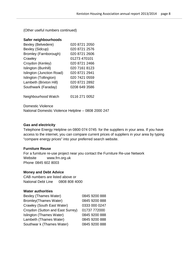(Other useful numbers continued)

| Safer neighbourhoods      |               |
|---------------------------|---------------|
| Bexley (Belvedere)        | 020 8721 2050 |
| Bexley (Sidcup)           | 020 8721 2576 |
| Bromley (Farnborough)     | 020 8721 2606 |
| Crawley                   | 01273 470101  |
| Croydon (Kenley)          | 020 8721 2466 |
| Islington (Bunhill)       | 020 7161 8123 |
| Islington (Junction Road) | 020 8721 2941 |
| Islington (Tollington)    | 020 7421 0559 |
| Lambeth (Brixton Hill)    | 020 8721 2892 |
| Southwark (Faraday)       | 0208 649 3586 |
| Neighbourhood Watch       | 0116 271 0052 |

Domestic Violence

National Domestic Violence Helpline – 0808 2000 247

#### **Gas and electricity**

Telephone Energy Helpline on 0800 074 0745 for the suppliers in your area. If you have access to the internet, you can compare current prices of suppliers in your area by typing "compare energy prices" into your preferred search website.

#### **Furniture Reuse**

For a furniture re-use project near you contact the Furniture Re-use Network Website www.frn.org.uk Phone 0845 602 8003

#### **Money and Debt Advice**

CAB numbers are listed above or National Debt Line 0808 808 4000

#### **Water authorities**

| 0845 9200 888 |
|---------------|
| 0845 9200 888 |
| 0333 000 0247 |
| 01737 772000  |
| 0845 9200 888 |
| 0845 9200 888 |
| 0845 9200 888 |
|               |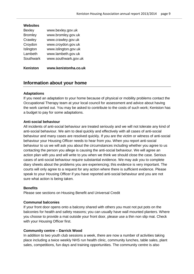| Keniston       | www.kenistonha.co.uk |
|----------------|----------------------|
| Southwark      | www.southwark.gov.uk |
| Lambeth        | www.lambeth.gov.uk   |
| Islington      | www.islington.gov.uk |
| Croydon        | www.croydon.gov.uk   |
| Crawley        | www.crawley.gov.uk   |
| <b>Bromley</b> | www.bromley.gov.uk   |
| <b>Bexley</b>  | www.bexley.gov.uk    |
| vvensites      |                      |

## **Information about your home**

#### **Adaptations**

**Websites**

If you need an adaptation to your home because of physical or mobility problems contact the Occupational Therapy team at your local council for assessment and advice about having the work carried out. You may be asked to contribute to the costs of such work; Keniston has a budget to pay for some adaptations.

#### **Anti-social behaviour**

All incidents of anti-social behaviour are treated seriously and we will not tolerate any kind of anti-social behaviour. We aim to deal quickly and effectively with all cases of anti-social behaviour and many cases are resolved quickly. If you are the victim or witness of anti-social behaviour your Housing Officer needs to hear from you. When you report anti-social behaviour to us we will ask you about the circumstances including whether you agree to us contacting the person you allege is causing the anti-social behaviour. We will agree an action plan with you and will write to you when we think we should close the case. Serious cases of anti-social behaviour require substantial evidence. We may ask you to complete diary sheets about the problems you are experiencing; this evidence is very important. The courts will only agree to a request for any action where there is sufficient evidence. Please speak to your Housing Officer if you have reported anti-social behaviour and you are not sure what action is being taken.

#### **Benefits**

Please see sections on Housing Benefit and Universal Credit

#### **Communal balconies**

If your front door opens onto a balcony shared with others you must not put pots on the balconies for health and safety reasons; you can usually have wall mounted planters. Where you choose to provide a mat outside your front door, please use a thin non slip mat. Check with your Housing Officer first.

#### **Community centre – Darrick Wood**

In addition to two youth club sessions a week, there are now a number of activities taking place including a twice weekly NHS run health clinic, community lunches, table sales, plant sales, competitions, fun days and training opportunities. The community centre is also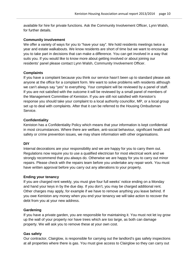available for hire for private functions. Ask the Community Involvement Officer, Lynn Walsh, for further details.

#### **Community involvement**

We offer a variety of ways for you to "have your say". We hold residents meetings twice a year and estate walkabouts. We know residents are short of time but we want to encourage you to take part in decisions that can make a difference. You can get involved in a way that suits you. If you would like to know more about getting involved or about joining our residents' panel please contact Lynn Walsh, Community Involvement Officer.

#### **Complaints**

If you have a complaint because you think our service hasn't been up to standard please ask anyone at the office for a complaint form. We want to solve problems with residents although we can't always say "yes" to everything. Your complaint will be reviewed by a panel of staff. If you are not satisfied with the outcome it will be reviewed by a small panel of members of the Management Committee of Keniston. If you are still not satisfied with Keniston's response you should take your complaint to a local authority councillor, MP, or a local group set up to deal with complaints. After that it can be referred to the Housing Ombudsman Service.

#### **Confidentiality**

Keniston has a Confidentiality Policy which means that your information is kept confidential in most circumstances. Where there are welfare, anti-social behaviour, significant health and safety or crime prevention issues, we may share information with other organisations.

#### **DIY**

Internal decorations are your responsibility and we are happy for you to carry them out. Regulations now require you to use a qualified electrician for most electrical work and we strongly recommend that you always do. Otherwise we are happy for you to carry out minor repairs. Please check with the repairs team before you undertake any repair work. You must have written approval before you carry out any alterations to your property.

#### **Ending your tenancy**

If you are charged rent weekly, you must give four full weeks' notice ending on a Monday and hand your keys in by the due day. If you don't, you may be charged additional rent. Other charges may apply, for example if we have to remove anything you leave behind. If you owe Keniston any money when you end your tenancy we will take action to recover the debt from you at your new address.

#### **Gardening**

If you have a private garden, you are responsible for maintaining it. You must not let ivy grow up the wall of your property nor have trees which are too large, as both can damage property. We will ask you to remove these at your own cost.

#### **Gas safety**

Our contractor, Clairglow, is responsible for carrying out the landlord's gas safety inspections at all properties where there is gas. You must give access to Clairglow so they can carry out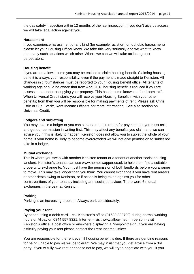the gas safety inspection within 12 months of the last inspection. If you don't give us access we will take legal action against you.

#### **Harassment**

If you experience harassment of any kind (for example racist or homophobic harassment) please let your Housing Officer know. We take this very seriously and we want to know about any such situations which arise. Where we can we will take action against perpetrators.

#### **Housing benefit**

If you are on a low income you may be entitled to claim housing benefit. Claiming housing benefit is always your responsibility, even if the payment is made straight to Keniston. All changes in circumstances must be reported to your Housing Benefit office. All tenants of working age should be aware that from April 2013 housing benefit is reduced if you are assessed as under-occupying your property. This has become known as "bedroom tax". When Universal Credit starts you will receive your Housing Benefit in with your other benefits; from then you will be responsible for making payments of rent. Please ask Chris Little or Sue Everitt, Rent Income Officers, for more information. See also section on Universal Credit.

#### **Lodgers and subletting**

You may take in a lodger or you can sublet a room in return for payment but you must ask and get our permission in writing first. This may affect any benefits you claim and we can advise you if this is likely to happen. Keniston does not allow you to sublet the whole of your home; if your home is likely to become overcrowded we will not give permission to sublet nor take in a lodger.

#### **Mutual exchange**

This is where you swap with another Keniston tenant or a tenant of another social housing landlord. Keniston's tenants can use www.homeswapper.co.uk to help them find a suitable property to exchange to. You must have the permission of both landlords before you arrange to move. This may take longer than you think. You cannot exchange if you have rent arrears or other debts owing to Keniston, or if action is being taken against you for other contraventions of your tenancy including anti-social behaviour. There were 6 mutual exchanges in the year at Keniston.

#### **Parking**

Parking is an increasing problem. Always park considerately.

#### **Paying your rent**

By phone using a debit card – call Keniston's office (01689 889700) during normal working hours or Allpay on 0844 557 8321. Internet – visit www.allpay.net . In person - visit Keniston's office, a post office or anywhere displaying a "Paypoint" sign. If you are having difficulty paying your rent please contact the Rent Income Officer.

You are responsible for the rent even if housing benefit is due. If there are genuine reasons for being unable to pay we will be tolerant. We may insist that you get advice from a 3rd party. If you wilfully owe rent or choose not to pay, we will try to negotiate with you; if you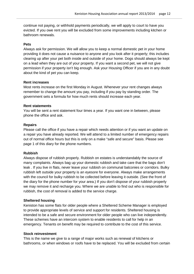continue not paying, or withhold payments periodically, we will apply to court to have you evicted. If you owe rent you will be excluded from some improvements including kitchen or bathroom renewals.

#### **Pets**

Always ask for permission. We will allow you to keep a normal domestic pet in your home providing it does not cause a nuisance to anyone and you look after it properly; this includes clearing up after your pet both inside and outside of your home. Dogs should always be kept on a lead when they are out of your property. If you want a second pet, we will not give permission if your property isn't big enough. Ask your Housing Officer if you are in any doubt about the kind of pet you can keep.

#### **Rent increases**

Most rents increase on the first Monday in August. Whenever your rent changes always remember to change the amount you pay, including if you pay by standing order. The government sets a formula for how much rents should increase each year.

#### **Rent statements**

You will be sent a rent statement four times a year. If you want one in between, please phone the office and ask.

#### **Repairs**

Please call the office if you have a repair which needs attention or if you want an update on a repair you have already reported. We will attend to a limited number of emergency repairs out of normal office hours but this is only on a make "safe and secure" basis. Please see page 1 of this diary for the phone numbers.

#### **Rubbish**

Always dispose of rubbish properly. Rubbish on estates is understandably the source of many complaints. Always bag up your domestic rubbish and take care that the bags don't leak . If you live in flats, never leave your rubbish on communal balconies or corridors. Bulky rubbish left outside your property is an eyesore for everyone. Always make arrangements with the council for bulky rubbish to be collected before leaving it outside. (See the front of the diary for the phone number for your area.) If you don't dispose of your rubbish properly we may remove it and recharge you. Where we are unable to find out who is responsible for rubbish, the cost of removal is added to the service charge.

#### **Sheltered housing**

Keniston has some flats for older people where a Sheltered Scheme Manager is employed to provide appropriate levels of service and support for residents. Sheltered housing is intended to be a safe and secure environment for older people who can live independently. These schemes have an intercom system to enable residents to call for help in an emergency. Tenants on benefit may be required to contribute to the cost of this service.

#### **Stock reinvestment**

This is the name we give to a range of major works such as renewal of kitchens or bathrooms, or when windows or roofs have to be replaced. You will be excluded from certain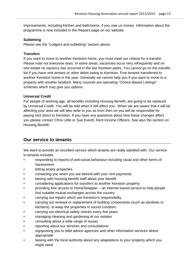improvements, including kitchen and bathrooms, if you owe us money. Information about the programme is now included in the Repairs page on our website.

#### **Subletting**

Please see the "Lodgers and subletting" section above.

#### **Transfers**

If you want to move to another Keniston home, you must meet our criteria for a transfer. Please note not everyone does. In some areas, vacancies occur very infrequently and on one estate no vacancy has occurred in the last fourteen years. You cannot go on the transfer list if you have rent arrears or other debts owing to Keniston. Five tenants transferred to another Keniston home in the year. Generally we cannot help you if you want to move to a property with another landlord. Many councils are operating "Choice Based Lettings" schemes which may give you options.

#### **Universal Credit**

For people of working age, all benefits including Housing Benefit, are going to be replaced by Universal Credit. You will be told when it will affect you. When we are aware that it will be affecting your area we will also write to you as from then on you will be responsible for paying rent direct to Keniston. If you have any questions about how these changes affect you please contact Chris Little or Sue Everitt, Rent Income Officers. See also the section on Housing Benefit.

## **Our service to tenants**

We want to provide an excellent service which tenants are really satisfied with. Our service to tenants includes

- responding to reports of anti-social behaviour including racial and other forms of harassment
- letting empty properties
- contacting you when you are behind with your rent payments
- liaising with housing benefit staff about your benefit
- considering applications for transfers to another Keniston property
- providing free access to HomeSwapper an internet based service to help people find suitable mutual exchanges across the country
- carrying out repairs which are Keniston's responsibility
- carrying out renewal or replacement of building components (such as windows or kitchens) to keep the properties in sound condition
- carrying out electrical safety checks every five years
- managing cleaning and gardening at our estates
- consulting about a wide range of issues
- reporting about our services and consultations
- signposting you to debt advice agencies and other information services where appropriate
- liaising with the local authority about any adaptations to your property which you might need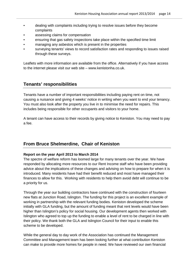- dealing with complaints including trying to resolve issues before they become complaints
- assessing claims for compensation
- ensuring that gas safety inspections take place within the specified time limit
- managing any asbestos which is present in the properties
- surveying tenants' views to record satisfaction rates and responding to issues raised through these surveys.

Leaflets with more information are available from the office. Alternatively if you have access to the internet please visit our web site – www.kenistonha.co.uk.

# **Tenants' responsibilities**

Tenants have a number of important responsibilities including paying rent on time, not causing a nuisance and giving 4 weeks' notice in writing when you want to end your tenancy. You must also look after the property you live in to minimise the need for repairs. This includes being responsible for other occupants and visitors to your home.

A tenant can have access to their records by giving notice to Keniston. You may need to pay a fee.

# **From Bruce Shelmerdine, Chair of Keniston**

#### **Report on the year April 2013 to March 2014**

The spectre of welfare reform has loomed large for many tenants over the year. We have responded by allocating more resources to our Rent Income staff who have been providing advice about the implications of these changes and advising on how to prepare for when it is introduced. Many residents have had their benefit reduced and most have managed their finances to allow for this. Working with residents to help them avoid debt will continue to be a priority for us.

Through the year our building contractors have continued with the construction of fourteen new flats at Junction Road, Islington. The funding for this project is an excellent example of working in partnership with the relevant funding bodies. Keniston developed the scheme initially with GLA funding, but the amount of funding meant that rent levels would have been higher than Islington's policy for social housing. Our development agents then worked with Islington who agreed to top up the funding to enable a level of rent to be charged in line with their policy. We thank both the GLA and Islington Council for their input to enable this scheme to be developed.

While the general day to day work of the Association has continued the Management Committee and Management team has been looking further at what contribution Keniston can make to provide more homes for people in need. We have reviewed our own financial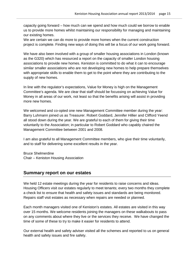capacity going forward – how much can we spend and how much could we borrow to enable us to provide more homes whilst maintaining our responsibility for managing and maintaining our existing homes.

We are certain we can do more to provide more homes when the current construction project is complete. Finding new ways of doing this will be a focus of our work going forward.

We have also been involved with a group of smaller housing associations in London (known as the G320) which has resourced a report on the capacity of smaller London housing associations to provide new homes. Keniston is committed to do what it can to encourage similar smaller associations who are not developing new homes to help prepare themselves with appropriate skills to enable them to get to the point where they are contributing to the supply of new homes.

In line with the regulator's expectations, Value for Money is high on the Management Committee's agenda. We are clear that staff should be focussing on achieving Value for Money in all areas of our work, not least so that the benefits arising will assist in providing more new homes.

We welcomed and co-opted one new Management Committee member during the year: Barry Luhmann joined us as Treasurer. Robert Goddard, Jennifer Hillier and Clifford Yeend all stood down during the year. We are grateful to each of them for giving their time voluntarily to the Association; in particular to Robert Goddard who capably chaired the Management Committee between 2001 and 2008.

I am also grateful to all Management Committee members, who give their time voluntarily, and to staff for delivering some excellent results in the year.

Bruce Shelmerdine Chair – Keniston Housing Association

## **Summary report on our estates**

We held 12 estate meetings during the year for residents to raise concerns and ideas. Housing Officers visit our estates regularly to meet tenants; every two months they complete a check list to ensure that health and safety issues and standards are being monitored. Repairs staff visit estates as necessary when repairs are needed or planned.

Each month managers visited one of Keniston's estates. All estates are visited in this way over 15 months. We welcome residents joining the managers on these walkabouts to pass on any comments about where they live or the services they receive. We have changed the time of some of these to try to make it easier for residents to attend.

Our external health and safety adviser visited all the schemes and reported to us on general health and safety issues and fire safety.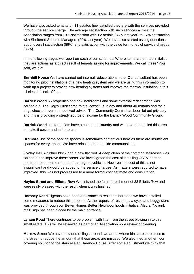We have also asked tenants on 11 estates how satisfied they are with the services provided through the service charge. The average satisfaction with such services across the Association ranges from 79% satisfaction with TV aerials (88% last year) to 97% satisfaction with Sheltered Scheme Managers (99% last year). We have also started asking questions about overall satisfaction (89%) and satisfaction with the value for money of service charges (85%).

In the following pages we report on each of our schemes. Where items are printed in italics they are actions as a direct result of tenants asking for improvements. We call these "You said, we did".

**Burnhill House** We have carried out internal redecorations here. Our consultant has been monitoring pilot installations of a new heating system and we are using this information to work up a project to provide new heating systems and improve the thermal insulation in this all electric block of flats.

**Darrick Wood** 55 properties had new bathrooms and some external redecoration was carried out. The Dog's Trust came to a successful fun day and about 40 tenants had their dogs checked over and received advice. The Community Centre has been let out privately and this is providing a steady source of income for the Darrick Wood Community Group.

**Darrick Wood** sheltered flats have a communal laundry and we have remodelled this area to make it easier and safer to use.

**Dromore** Use of the parking spaces is sometimes contentious here as there are insufficient spaces for every tenant. We have reinstated an outside communal tap.

**Foxley Hall** A further block had a new flat roof. A deep clean of the common staircases was carried out to improve these areas. We investigated the cost of installing CCTV here as there had been some reports of damage to vehicles. However the cost of this is not insignificant and would be added to the service charges. As matters were reported to have improved this was not progressed to a more formal cost estimate and consultation.

**Hayles Street and Elliotts Row** We finished the full refurbishment of 33 Elliotts Row and were really pleased with the result when it was finished.

**Hornsey Road** Pigeons have been a nuisance to residents here and we have installed some measures to reduce this problem. At the request of residents, a cycle and buggy store was provided through our Better Homes Better Neighbourhoods initiative. Also a "No junk mail" sign has been placed by the main entrance.

**Lyham Road** There continues to be problem with litter from the street blowing in to this small estate. This will be reviewed as part of an Association wide review of cleaning.

**Merrow Street** We have provided railings around two areas where bin stores are close to the street to reduce the amount that these areas are misused. We also tried another floor covering solution to the staircase at Clarence House. After some adjustment we think that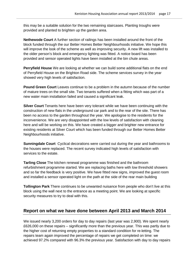this may be a suitable solution for the two remaining staircases. Planting troughs were provided and planted to brighten up the garden area.

**Nethewode Court** A further section of railings has been installed around the front of the block funded through the our Better Homes Better Neighbourhoods initiative. We hope this will improve the look of the scheme as well as improving security. A new lift was installed to the older person's block and emergency lighting was fitted. A notice board has been provided and sensor operated lights have been installed at the bin chute areas.

**Perryfield House** We are looking at whether we can build some additional flats on the end of Perryfield House on the Brighton Road side. The scheme services survey in the year showed very high levels of satisfaction.

**Pound Green Court** Leaves continue to be a problem in the autumn because of the number of mature trees on the small site. Two tenants suffered when a fitting which was part of a new water main installation failed and caused a significant leak.

**Silver Court** Tenants here have been very tolerant while we have been continuing with the construction of new flats in the underground car park and to the rear of the site. There has been no access to the garden throughout the year. We apologise to the residents for the inconvenience. We are very disappointed with the low levels of satisfaction with cleaning here and will be working on this. We have created a bigger and brighter new entrance for existing residents at Silver Court which has been funded through our Better Homes Better Neighbourhoods initiative.

**Sunningdale Court** Cyclical decorations were carried out during the year and bathrooms to the houses were replaced. The recent survey indicated high levels of satisfaction with services to the estate.

**Tarling Close** The kitchen renewal programme was finished and the bathroom refurbishment programme started. We are replacing baths here with low threshold showers and so far the feedback is very positive. We have fitted new signs, improved the guest room and installed a sensor operated light on the path at the side of the rear main building

**Tollington Park** There continues to be unwanted nuisance from people who don't live at this block using the wall next to the entrance as a meeting point. We are looking at specific security measures to try to deal with this.

# **Report on what we have done between April 2013 and March 2014**

We issued nearly 3,200 orders for day to day repairs (last year was 2,900). We spent nearly £626,000 on these repairs – significantly more than the previous year. This was partly due to the higher cost of returning empty properties to a standard condition for re-letting. The repairs team again improved the percentage of repairs we get completed on time: we achieved 97.2% compared with 96.3% the previous year. Satisfaction with day to day repairs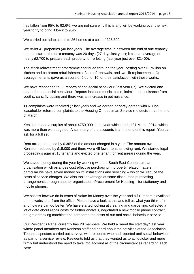has fallen from 95% to 92.6%; we are not sure why this is and will be working over the next year to try to bring it back to 95%.

We carried out adaptations to 26 homes at a cost of £25,300.

We re-let 41 properties (40 last year). The average time in between the end of one tenancy and the start of the next tenancy was 20 days (27 days last year); it cost an average of nearly £2,700 to prepare each property for re-letting (last year just over £2,400).

The stock reinvestment programme continued through the year, costing over £1 million on kitchen and bathroom refurbishments, flat roof renewals, and two lift replacements. On average, tenants gave us a score of 9 out of 10 for their satisfaction with these works.

We have responded to 56 reports of anti-social behaviour (last year 67). We evicted one tenant for anti-social behaviour. Reports included music, noise, intimidation, nuisance from youths, cars, fly-tipping and there was an increase in pet nuisance.

11 complaints were received (7 last year) and we agreed or partly agreed with 6. One leaseholder referred complaints to the Housing Ombudsman Service (no decision at the end of March).

Keniston made a surplus of about £750,000 in the year which ended 31 March 2014, which was more than we budgeted. A summary of the accounts is at the end of this report. You can ask for a full set.

Rent arrears reduced by 0.36% of the amount charged in a year. The amount owed to Keniston reduced by £15,000 and there were 45 fewer tenants owing rent. We started legal proceedings against 15 tenants and evicted one tenant for rent arrears during the year.

We saved money during the year by working with the South East Consortium, an organisation which arranges cost effective purchasing in property related matters. In particular we have saved money on lift installations and servicing – which will reduce the costs of service charges. We also took advantage of some discounted purchasing arrangements through another organisation, Procurement for Housing – for stationery and mobile phones.

We assess how we do in terms of Value for Money over the year and a full report is available on the website or from the office. Please have a look at this and tell us what you think of it and how we can do better. We have started looking at cleaning and gardening, collected a lot of data about repair costs for further analysis, negotiated a new mobile phone contract, bought a franking machine and compared the costs of our anti-social behaviour service.

Our Resident's Panel currently has 28 members. We held a "meet the staff day" last year where panel members met Keniston staff and heard about the activities of the Association. Tenant inspectors carried out surveys with residents who had reported anti-social behaviour as part of a service review. Residents told us that they wanted us to act quicker and more firmly but understood the need to take into account all of the circumstances regarding each case.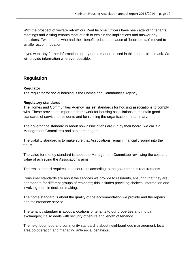With the prospect of welfare reform our Rent Income Officers have been attending tenants' meetings and visiting tenants most at risk to explain the implications and answer any questions. Two tenants who had their benefit reduced because of "bedroom tax" moved to smaller accommodation.

If you want any further information on any of the matters raised in this report, please ask. We will provide information wherever possible.

# **Regulation**

#### **Regulator**

The regulator for social housing is the Homes and Communities Agency.

#### **Regulatory standards**

The Homes and Communities Agency has set standards for housing associations to comply with. These provide an important framework for housing associations to maintain good standards of service to residents and for running the organisation. In summary:

The governance standard is about how associations are run by their board (we call it a Management Committee) and senior managers.

The viability standard is to make sure that Associations remain financially sound into the future.

The value for money standard is about the Management Committee reviewing the cost and value of achieving the Association's aims.

The rent standard requires us to set rents according to the government's requirements.

Consumer standards are about the services we provide to residents, ensuring that they are appropriate for different groups of residents; this includes providing choices, information and involving them in decision making.

The home standard is about the quality of the accommodation we provide and the repairs and maintenance service.

The tenancy standard is about allocations of tenants to our properties and mutual exchanges; it also deals with security of tenure and length of tenancy.

The neighbourhood and community standard is about neighbourhood management, local area co-operation and managing anti-social behaviour.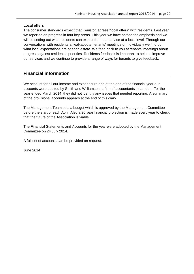#### **Local offers**

The consumer standards expect that Keniston agrees "local offers" with residents. Last year we reported on progress in four key areas. This year we have shifted the emphasis and we will be setting out what residents can expect from our service at a local level. Through our conversations with residents at walkabouts, tenants' meetings or individually we find out what local expectations are at each estate. We feed back to you at tenants' meetings about progress against residents' priorities. Residents feedback is important to help us improve our services and we continue to provide a range of ways for tenants to give feedback.

# **Financial information**

We account for all our income and expenditure and at the end of the financial year our accounts were audited by Smith and Williamson, a firm of accountants in London. For the year ended March 2014, they did not identify any issues that needed reporting. A summary of the provisional accounts appears at the end of this diary.

The Management Team sets a budget which is approved by the Management Committee before the start of each April. Also a 30 year financial projection is made every year to check that the future of the Association is viable.

The Financial Statements and Accounts for the year were adopted by the Management Committee on 24 July 2014.

A full set of accounts can be provided on request.

June 2014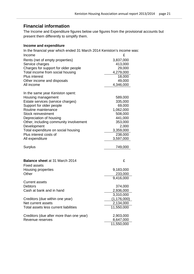# **Financial information**

The Income and Expenditure figures below use figures from the provisional accounts but present them differently to simplify them.

## **Income and expenditure**

| In the financial year which ended 31 March 2014 Keniston's income was: |                      |
|------------------------------------------------------------------------|----------------------|
| Income                                                                 | £                    |
| Rents (net of empty properties)                                        | 3,837,000            |
| Service charges                                                        | 413,000              |
| Charges for support for older people                                   | 29,000               |
| Total income from social housing                                       | 4,279,000            |
| <b>Plus interest</b>                                                   | 18,000               |
| Other income and disposals                                             | 49,000               |
| All income                                                             | 4,346,000            |
| In the same year Keniston spent:                                       |                      |
| Housing management                                                     | 589,000              |
| Estate services (service charges)                                      | 335,000              |
| Support for older people                                               | 69,000               |
| Routine maintenance                                                    | 1,062,000            |
| <b>Stock reinvestment</b>                                              | 508,000              |
| Depreciation of housing                                                | 441,000              |
| Other, including community involvement                                 | 353,000              |
| Development                                                            | 2,000                |
| Total expenditure on social housing                                    | 3,359,000            |
| Plus interest costs of                                                 | 238,000              |
| All expenditure                                                        | 3,597,000            |
| <b>Surplus</b>                                                         | 749,000              |
| <b>Balance sheet at 31 March 2014</b>                                  | £                    |
| <b>Fixed assets</b>                                                    |                      |
| Housing properties<br>Other                                            | 9,183,000<br>233,000 |
|                                                                        | 9,416,000            |
| <b>Current assets</b>                                                  |                      |
| <b>Debtors</b>                                                         | 374,000              |
| Cash at bank and in hand                                               | 2,936,000            |
|                                                                        | 3,310,000            |
| Creditors (due within one year)                                        | (1, 176, 000)        |
| Net current assets                                                     | 2,134,000            |
| Total assets less current liabilities                                  | 11,550,000           |
| Creditors (due after more than one year)                               | 2,903,000            |
| Revenue reserves                                                       | 8,647,000            |
|                                                                        | 11,550,000           |